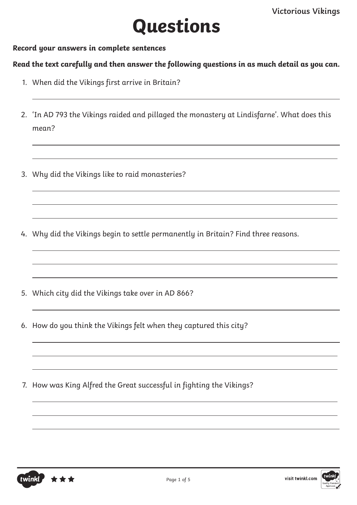$\overline{a}$ 

 $\overline{a}$ 

 $\overline{a}$ 

## **Questions**

**Record your answers in complete sentences**

**Read the text carefully and then answer the following questions in as much detail as you can.**

- 1. When did the Vikings first arrive in Britain?
- 2. 'In AD 793 the Vikings raided and pillaged the monastery at Lindisfarne'. What does this mean?
- 3. Why did the Vikings like to raid monasteries?
- 4. Why did the Vikings begin to settle permanently in Britain? Find three reasons.
- 5. Which city did the Vikings take over in AD 866?
- 6. How do you think the Vikings felt when they captured this city?
- 7. How was King Alfred the Great successful in fighting the Vikings?



 $\overline{a}$ 

 $\overline{a}$ 

 $\overline{a}$ 

 $\overline{a}$ 

 $\overline{a}$ 

 $\overline{a}$ 

 $\overline{a}$ 

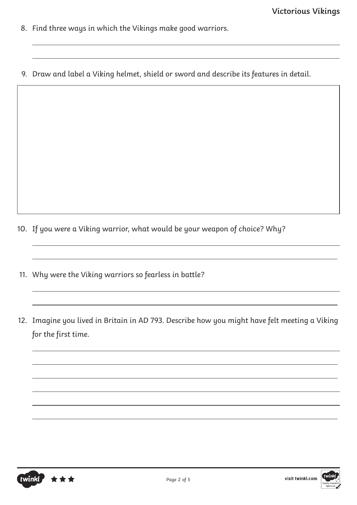- 8. Find three ways in which the Vikings make good warriors.
- 9. Draw and label a Viking helmet, shield or sword and describe its features in detail.

- 10. If you were a Viking warrior, what would be your weapon of choice? Why?
- 11. Why were the Viking warriors so fearless in battle?
- 12. Imagine you lived in Britain in AD 793. Describe how you might have felt meeting a Viking for the first time.



 $\overline{a}$ 

 $\overline{a}$ 

 $\overline{a}$ 

 $\overline{a}$ 

 $\overline{a}$ 

 $\overline{a}$ 

 $\overline{a}$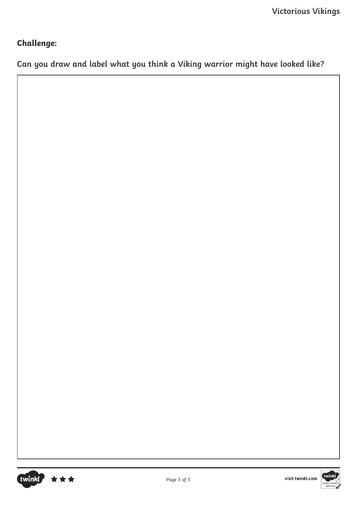## **Challenge:**

**Can you draw and label what you think a Viking warrior might have looked like?**



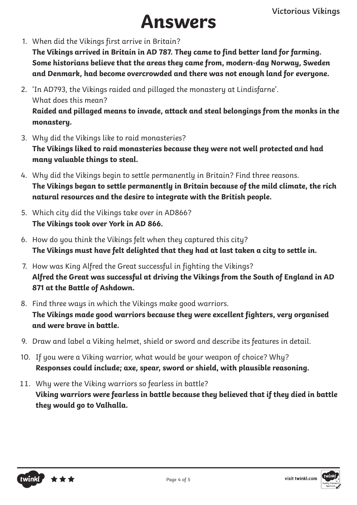## **nswers**

1. When did the Vikings first arrive in Britain?

**The Vikings arrived in Britain in AD 787. They came to find better land for farming. Some historians believe that the areas they came from, modern-day Norway, Sweden and Denmark, had become overcrowded and there was not enough land for everyone.**

- 2. 'In AD793, the Vikings raided and pillaged the monastery at Lindisfarne'. What does this mean? **Raided and pillaged means to invade, attack and steal belongings from the monks in the monastery.**
- 3. Why did the Vikings like to raid monasteries? **The Vikings liked to raid monasteries because they were not well protected and had many valuable things to steal.**
- 4. Why did the Vikings begin to settle permanently in Britain? Find three reasons. **The Vikings began to settle permanently in Britain because of the mild climate, the rich natural resources and the desire to integrate with the British people.**
- 5. Which city did the Vikings take over in AD866? **The Vikings took over York in AD 866.**
- 6. How do you think the Vikings felt when they captured this city? **The Vikings must have felt delighted that they had at last taken a city to settle in.**
- 7. How was King Alfred the Great successful in fighting the Vikings? **Alfred the Great was successful at driving the Vikings from the South of England in AD 871 at the Battle of Ashdown.**
- 8. Find three ways in which the Vikings make good warriors. **The Vikings made good warriors because they were excellent fighters, very organised and were brave in battle.**
- 9. Draw and label a Viking helmet, shield or sword and describe its features in detail.
- 10. If you were a Viking warrior, what would be your weapon of choice? Why? **Responses could include; axe, spear, sword or shield, with plausible reasoning.**
- 11. Why were the Viking warriors so fearless in battle? **Viking warriors were fearless in battle because they believed that if they died in battle they would go to Valhalla.**